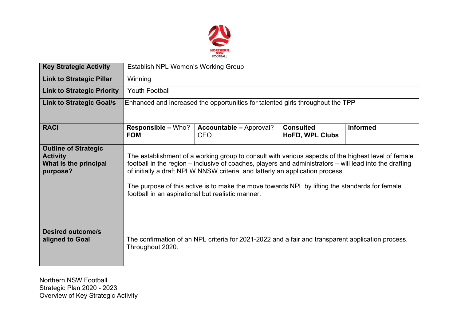

| <b>Key Strategic Activity</b>                                                       | <b>Establish NPL Women's Working Group</b>                                                                                                                                                                                                                                                                                                                                                                                                             |                                                                                                   |                                     |                 |  |  |  |  |
|-------------------------------------------------------------------------------------|--------------------------------------------------------------------------------------------------------------------------------------------------------------------------------------------------------------------------------------------------------------------------------------------------------------------------------------------------------------------------------------------------------------------------------------------------------|---------------------------------------------------------------------------------------------------|-------------------------------------|-----------------|--|--|--|--|
| <b>Link to Strategic Pillar</b>                                                     | Winning                                                                                                                                                                                                                                                                                                                                                                                                                                                |                                                                                                   |                                     |                 |  |  |  |  |
| <b>Link to Strategic Priority</b>                                                   | <b>Youth Football</b>                                                                                                                                                                                                                                                                                                                                                                                                                                  |                                                                                                   |                                     |                 |  |  |  |  |
| <b>Link to Strategic Goal/s</b>                                                     | Enhanced and increased the opportunities for talented girls throughout the TPP                                                                                                                                                                                                                                                                                                                                                                         |                                                                                                   |                                     |                 |  |  |  |  |
| <b>RACI</b>                                                                         | <b>Responsible - Who?</b><br><b>FOM</b>                                                                                                                                                                                                                                                                                                                                                                                                                | <b>Accountable - Approval?</b><br><b>CEO</b>                                                      | <b>Consulted</b><br>HoFD, WPL Clubs | <b>Informed</b> |  |  |  |  |
| <b>Outline of Strategic</b><br><b>Activity</b><br>What is the principal<br>purpose? | The establishment of a working group to consult with various aspects of the highest level of female<br>football in the region – inclusive of coaches, players and administrators – will lead into the drafting<br>of initially a draft NPLW NNSW criteria, and latterly an application process.<br>The purpose of this active is to make the move towards NPL by lifting the standards for female<br>football in an aspirational but realistic manner. |                                                                                                   |                                     |                 |  |  |  |  |
| <b>Desired outcome/s</b><br>aligned to Goal                                         | Throughout 2020.                                                                                                                                                                                                                                                                                                                                                                                                                                       | The confirmation of an NPL criteria for 2021-2022 and a fair and transparent application process. |                                     |                 |  |  |  |  |

Northern NSW Football Strategic Plan 2020 - 2023 Overview of Key Strategic Activity